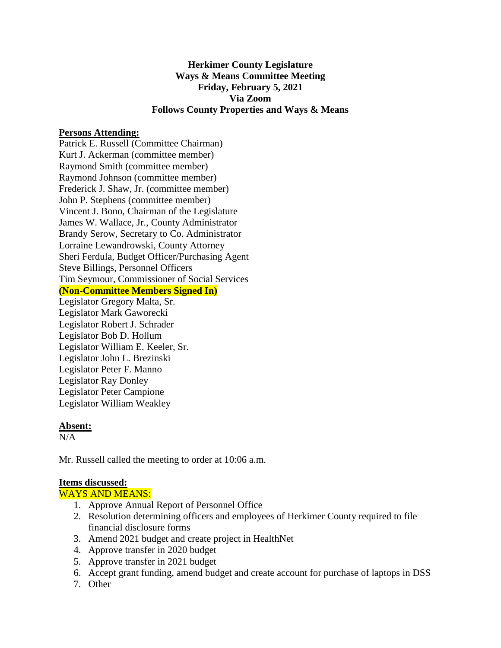# **Herkimer County Legislature Ways & Means Committee Meeting Friday, February 5, 2021 Via Zoom Follows County Properties and Ways & Means**

### **Persons Attending:**

Patrick E. Russell (Committee Chairman) Kurt J. Ackerman (committee member) Raymond Smith (committee member) Raymond Johnson (committee member) Frederick J. Shaw, Jr. (committee member) John P. Stephens (committee member) Vincent J. Bono, Chairman of the Legislature James W. Wallace, Jr., County Administrator Brandy Serow, Secretary to Co. Administrator Lorraine Lewandrowski, County Attorney Sheri Ferdula, Budget Officer/Purchasing Agent Steve Billings, Personnel Officers Tim Seymour, Commissioner of Social Services **(Non-Committee Members Signed In)** Legislator Gregory Malta, Sr. Legislator Mark Gaworecki Legislator Robert J. Schrader Legislator Bob D. Hollum Legislator William E. Keeler, Sr. Legislator John L. Brezinski

Legislator Peter F. Manno Legislator Ray Donley Legislator Peter Campione Legislator William Weakley

### **Absent:**

 $N/A$ 

Mr. Russell called the meeting to order at 10:06 a.m.

## **Items discussed:**

### WAYS AND MEANS:

- 1. Approve Annual Report of Personnel Office
- 2. Resolution determining officers and employees of Herkimer County required to file financial disclosure forms
- 3. Amend 2021 budget and create project in HealthNet
- 4. Approve transfer in 2020 budget
- 5. Approve transfer in 2021 budget
- 6. Accept grant funding, amend budget and create account for purchase of laptops in DSS
- 7. Other